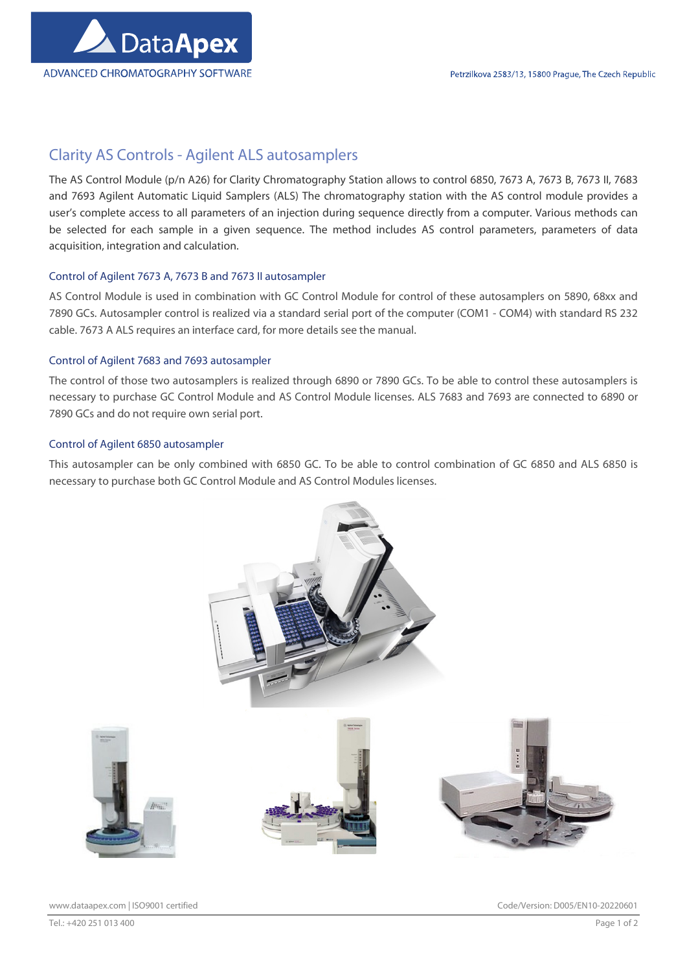

# Clarity AS Controls - Agilent ALS autosamplers

The AS Control Module (p/n A26) for Clarity Chromatography Station allows to control 6850, 7673 A, 7673 B, 7673 II, 7683 and 7693 Agilent Automatic Liquid Samplers (ALS) The chromatography station with the AS control module provides a user's complete access to all parameters of an injection during sequence directly from a computer. Various methods can be selected for each sample in a given sequence. The method includes AS control parameters, parameters of data acquisition, integration and calculation.

# Control of Agilent 7673 A, 7673 B and 7673 II autosampler

AS Control Module is used in combination with GC Control Module for control of these autosamplers on 5890, 68xx and 7890 GCs. Autosampler control is realized via a standard serial port of the computer (COM1 - COM4) with standard RS 232 cable. 7673 A ALS requires an interface card, for more details see the manual.

# Control of Agilent 7683 and 7693 autosampler

The control of those two autosamplers is realized through 6890 or 7890 GCs. To be able to control these autosamplers is necessary to purchase GC Control Module and AS Control Module licenses. ALS 7683 and 7693 are connected to 6890 or 7890 GCs and do not require own serial port.

## Control of Agilent 6850 autosampler

This autosampler can be only combined with 6850 GC. To be able to control combination of GC 6850 and ALS 6850 is necessary to purchase both GC Control Module and AS Control Modules licenses.



www.dataapex.com | ISO9001 certified Code/Version: D005/EN10-20220601